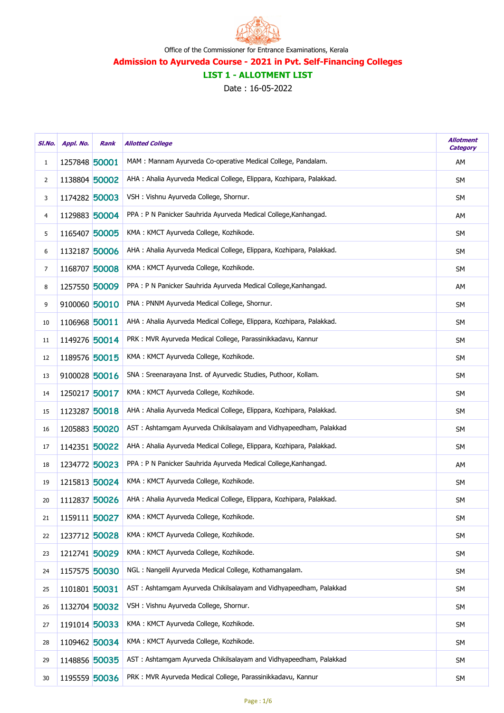

# LIST 1 - ALLOTMENT LIST

| SI.No.       | Appl. No.     | Rank | <b>Allotted College</b>                                               | <b>Allotment</b><br><b>Category</b> |
|--------------|---------------|------|-----------------------------------------------------------------------|-------------------------------------|
| $\mathbf{1}$ | 1257848 50001 |      | MAM : Mannam Ayurveda Co-operative Medical College, Pandalam.         | AΜ                                  |
| 2            | 1138804 50002 |      | AHA : Ahalia Ayurveda Medical College, Elippara, Kozhipara, Palakkad. | <b>SM</b>                           |
| 3            | 1174282 50003 |      | VSH : Vishnu Ayurveda College, Shornur.                               | <b>SM</b>                           |
| 4            | 1129883 50004 |      | PPA : P N Panicker Sauhrida Ayurveda Medical College, Kanhangad.      | AM                                  |
| 5            | 1165407 50005 |      | KMA: KMCT Ayurveda College, Kozhikode.                                | <b>SM</b>                           |
| 6            | 1132187 50006 |      | AHA : Ahalia Ayurveda Medical College, Elippara, Kozhipara, Palakkad. | <b>SM</b>                           |
| 7            | 1168707 50008 |      | KMA: KMCT Ayurveda College, Kozhikode.                                | <b>SM</b>                           |
| 8            | 1257550 50009 |      | PPA : P N Panicker Sauhrida Ayurveda Medical College, Kanhangad.      | AM                                  |
| 9            | 9100060 50010 |      | PNA: PNNM Ayurveda Medical College, Shornur.                          | <b>SM</b>                           |
| 10           | 1106968 50011 |      | AHA : Ahalia Ayurveda Medical College, Elippara, Kozhipara, Palakkad. | <b>SM</b>                           |
| 11           | 1149276 50014 |      | PRK : MVR Ayurveda Medical College, Parassinikkadavu, Kannur          | <b>SM</b>                           |
| 12           | 1189576 50015 |      | KMA: KMCT Ayurveda College, Kozhikode.                                | <b>SM</b>                           |
| 13           | 9100028 50016 |      | SNA: Sreenarayana Inst. of Ayurvedic Studies, Puthoor, Kollam.        | SM                                  |
| 14           | 1250217 50017 |      | KMA: KMCT Ayurveda College, Kozhikode.                                | <b>SM</b>                           |
| 15           | 1123287 50018 |      | AHA : Ahalia Ayurveda Medical College, Elippara, Kozhipara, Palakkad. | <b>SM</b>                           |
| 16           | 1205883 50020 |      | AST: Ashtamgam Ayurveda Chikilsalayam and Vidhyapeedham, Palakkad     | SM                                  |
| 17           | 1142351 50022 |      | AHA : Ahalia Ayurveda Medical College, Elippara, Kozhipara, Palakkad. | SM                                  |
| 18           | 1234772 50023 |      | PPA : P N Panicker Sauhrida Ayurveda Medical College, Kanhangad.      | AM                                  |
| 19           | 1215813 50024 |      | KMA: KMCT Ayurveda College, Kozhikode.                                | <b>SM</b>                           |
| 20           | 1112837 50026 |      | AHA : Ahalia Ayurveda Medical College, Elippara, Kozhipara, Palakkad. | <b>SM</b>                           |
| 21           | 1159111 50027 |      | KMA: KMCT Ayurveda College, Kozhikode.                                | <b>SM</b>                           |
| 22           | 1237712 50028 |      | KMA: KMCT Ayurveda College, Kozhikode.                                | <b>SM</b>                           |
| 23           | 1212741 50029 |      | KMA: KMCT Ayurveda College, Kozhikode.                                | <b>SM</b>                           |
| 24           | 1157575 50030 |      | NGL: Nangelil Ayurveda Medical College, Kothamangalam.                | <b>SM</b>                           |
| 25           | 1101801 50031 |      | AST: Ashtamgam Ayurveda Chikilsalayam and Vidhyapeedham, Palakkad     | <b>SM</b>                           |
| 26           | 1132704 50032 |      | VSH : Vishnu Ayurveda College, Shornur.                               | <b>SM</b>                           |
| 27           | 1191014 50033 |      | KMA: KMCT Ayurveda College, Kozhikode.                                | <b>SM</b>                           |
| 28           | 1109462 50034 |      | KMA: KMCT Ayurveda College, Kozhikode.                                | <b>SM</b>                           |
| 29           | 1148856 50035 |      | AST: Ashtamgam Ayurveda Chikilsalayam and Vidhyapeedham, Palakkad     | <b>SM</b>                           |
| 30           | 1195559 50036 |      | PRK : MVR Ayurveda Medical College, Parassinikkadavu, Kannur          | <b>SM</b>                           |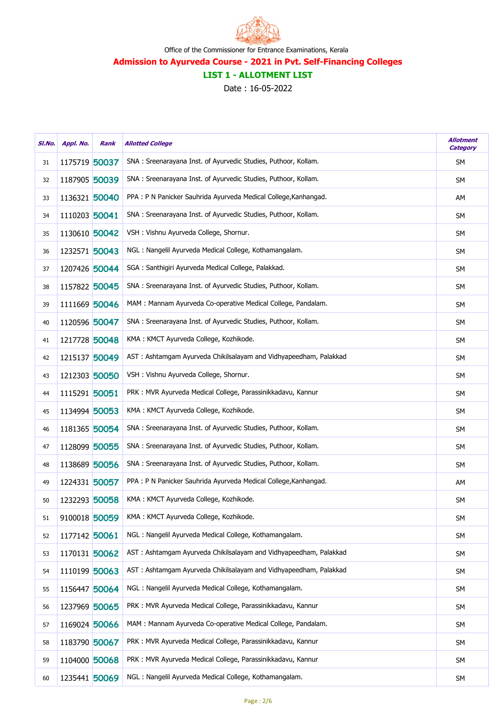

# LIST 1 - ALLOTMENT LIST

| SI.No. | Appl. No.     | Rank | <b>Allotted College</b>                                           | <b>Allotment</b><br><b>Category</b> |
|--------|---------------|------|-------------------------------------------------------------------|-------------------------------------|
| 31     | 1175719 50037 |      | SNA: Sreenarayana Inst. of Ayurvedic Studies, Puthoor, Kollam.    | SΜ                                  |
| 32     | 1187905 50039 |      | SNA: Sreenarayana Inst. of Ayurvedic Studies, Puthoor, Kollam.    | <b>SM</b>                           |
| 33     | 1136321 50040 |      | PPA : P N Panicker Sauhrida Ayurveda Medical College, Kanhangad.  | AΜ                                  |
| 34     | 1110203 50041 |      | SNA: Sreenarayana Inst. of Ayurvedic Studies, Puthoor, Kollam.    | <b>SM</b>                           |
| 35     | 1130610 50042 |      | VSH : Vishnu Ayurveda College, Shornur.                           | <b>SM</b>                           |
| 36     | 1232571 50043 |      | NGL: Nangelil Ayurveda Medical College, Kothamangalam.            | <b>SM</b>                           |
| 37     | 1207426 50044 |      | SGA : Santhigiri Ayurveda Medical College, Palakkad.              | <b>SM</b>                           |
| 38     | 1157822 50045 |      | SNA : Sreenarayana Inst. of Ayurvedic Studies, Puthoor, Kollam.   | SΜ                                  |
| 39     | 1111669 50046 |      | MAM : Mannam Ayurveda Co-operative Medical College, Pandalam.     | <b>SM</b>                           |
| 40     | 1120596 50047 |      | SNA: Sreenarayana Inst. of Ayurvedic Studies, Puthoor, Kollam.    | <b>SM</b>                           |
| 41     | 1217728 50048 |      | KMA: KMCT Ayurveda College, Kozhikode.                            | <b>SM</b>                           |
| 42     | 1215137 50049 |      | AST: Ashtamgam Ayurveda Chikilsalayam and Vidhyapeedham, Palakkad | SΜ                                  |
| 43     | 1212303 50050 |      | VSH : Vishnu Ayurveda College, Shornur.                           | SΜ                                  |
| 44     | 1115291 50051 |      | PRK : MVR Ayurveda Medical College, Parassinikkadavu, Kannur      | <b>SM</b>                           |
| 45     | 1134994 50053 |      | KMA: KMCT Ayurveda College, Kozhikode.                            | <b>SM</b>                           |
| 46     | 1181365 50054 |      | SNA: Sreenarayana Inst. of Ayurvedic Studies, Puthoor, Kollam.    | <b>SM</b>                           |
| 47     | 1128099 50055 |      | SNA : Sreenarayana Inst. of Ayurvedic Studies, Puthoor, Kollam.   | SΜ                                  |
| 48     | 1138689 50056 |      | SNA : Sreenarayana Inst. of Ayurvedic Studies, Puthoor, Kollam.   | <b>SM</b>                           |
| 49     | 1224331 50057 |      | PPA : P N Panicker Sauhrida Ayurveda Medical College, Kanhangad.  | AΜ                                  |
| 50     | 1232293 50058 |      | KMA: KMCT Ayurveda College, Kozhikode.                            | <b>SM</b>                           |
| 51     | 9100018 50059 |      | KMA: KMCT Ayurveda College, Kozhikode.                            | <b>SM</b>                           |
| 52     | 1177142 50061 |      | NGL: Nangelil Ayurveda Medical College, Kothamangalam.            | <b>SM</b>                           |
| 53     | 1170131 50062 |      | AST: Ashtamgam Ayurveda Chikilsalayam and Vidhyapeedham, Palakkad | <b>SM</b>                           |
| 54     | 1110199 50063 |      | AST: Ashtamgam Ayurveda Chikilsalayam and Vidhyapeedham, Palakkad | <b>SM</b>                           |
| 55     | 1156447 50064 |      | NGL: Nangelil Ayurveda Medical College, Kothamangalam.            | <b>SM</b>                           |
| 56     | 1237969 50065 |      | PRK : MVR Ayurveda Medical College, Parassinikkadavu, Kannur      | <b>SM</b>                           |
| 57     | 1169024 50066 |      | MAM : Mannam Ayurveda Co-operative Medical College, Pandalam.     | <b>SM</b>                           |
| 58     | 1183790 50067 |      | PRK : MVR Ayurveda Medical College, Parassinikkadavu, Kannur      | <b>SM</b>                           |
| 59     | 1104000 50068 |      | PRK : MVR Ayurveda Medical College, Parassinikkadavu, Kannur      | <b>SM</b>                           |
| 60     | 1235441 50069 |      | NGL: Nangelil Ayurveda Medical College, Kothamangalam.            | <b>SM</b>                           |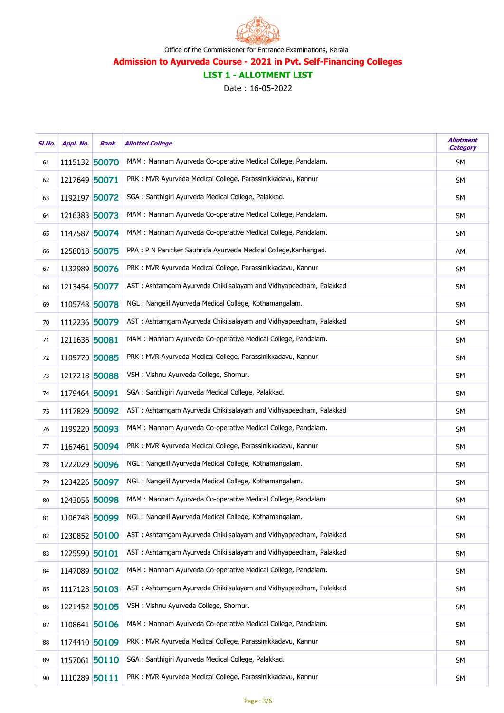

# LIST 1 - ALLOTMENT LIST

| SI.No. | Appl. No.     | Rank | <b>Allotted College</b>                                           | <b>Allotment</b><br><b>Category</b> |
|--------|---------------|------|-------------------------------------------------------------------|-------------------------------------|
| 61     | 1115132 50070 |      | MAM: Mannam Ayurveda Co-operative Medical College, Pandalam.      | SM                                  |
| 62     | 1217649 50071 |      | PRK : MVR Ayurveda Medical College, Parassinikkadavu, Kannur      | SM                                  |
| 63     | 1192197 50072 |      | SGA : Santhigiri Ayurveda Medical College, Palakkad.              | <b>SM</b>                           |
| 64     | 1216383 50073 |      | MAM : Mannam Ayurveda Co-operative Medical College, Pandalam.     | <b>SM</b>                           |
| 65     | 1147587 50074 |      | MAM : Mannam Ayurveda Co-operative Medical College, Pandalam.     | SΜ                                  |
| 66     | 1258018 50075 |      | PPA : P N Panicker Sauhrida Ayurveda Medical College, Kanhangad.  | AM                                  |
| 67     | 1132989 50076 |      | PRK : MVR Ayurveda Medical College, Parassinikkadavu, Kannur      | <b>SM</b>                           |
| 68     | 1213454 50077 |      | AST: Ashtamgam Ayurveda Chikilsalayam and Vidhyapeedham, Palakkad | <b>SM</b>                           |
| 69     | 1105748 50078 |      | NGL: Nangelil Ayurveda Medical College, Kothamangalam.            | SΜ                                  |
| 70     | 1112236 50079 |      | AST: Ashtamgam Ayurveda Chikilsalayam and Vidhyapeedham, Palakkad | <b>SM</b>                           |
| 71     | 1211636 50081 |      | MAM : Mannam Ayurveda Co-operative Medical College, Pandalam.     | <b>SM</b>                           |
| 72     | 1109770 50085 |      | PRK : MVR Ayurveda Medical College, Parassinikkadavu, Kannur      | <b>SM</b>                           |
| 73     | 1217218 50088 |      | VSH: Vishnu Ayurveda College, Shornur.                            | <b>SM</b>                           |
| 74     | 1179464 50091 |      | SGA : Santhigiri Ayurveda Medical College, Palakkad.              | <b>SM</b>                           |
| 75     | 1117829 50092 |      | AST: Ashtamgam Ayurveda Chikilsalayam and Vidhyapeedham, Palakkad | <b>SM</b>                           |
| 76     | 1199220 50093 |      | MAM : Mannam Ayurveda Co-operative Medical College, Pandalam.     | <b>SM</b>                           |
| 77     | 1167461 50094 |      | PRK : MVR Ayurveda Medical College, Parassinikkadavu, Kannur      | SΜ                                  |
| 78     | 1222029 50096 |      | NGL: Nangelil Ayurveda Medical College, Kothamangalam.            | <b>SM</b>                           |
| 79     | 1234226 50097 |      | NGL: Nangelil Ayurveda Medical College, Kothamangalam.            | <b>SM</b>                           |
| 80     | 1243056 50098 |      | MAM: Mannam Ayurveda Co-operative Medical College, Pandalam.      | <b>SM</b>                           |
| 81     | 1106748 50099 |      | NGL: Nangelil Ayurveda Medical College, Kothamangalam.            | <b>SM</b>                           |
| 82     | 1230852 50100 |      | AST: Ashtamgam Ayurveda Chikilsalayam and Vidhyapeedham, Palakkad | <b>SM</b>                           |
| 83     | 1225590 50101 |      | AST: Ashtamgam Ayurveda Chikilsalayam and Vidhyapeedham, Palakkad | SΜ                                  |
| 84     | 1147089 50102 |      | MAM : Mannam Ayurveda Co-operative Medical College, Pandalam.     | <b>SM</b>                           |
| 85     | 1117128 50103 |      | AST: Ashtamgam Ayurveda Chikilsalayam and Vidhyapeedham, Palakkad | <b>SM</b>                           |
| 86     | 1221452 50105 |      | VSH : Vishnu Ayurveda College, Shornur.                           | SΜ                                  |
| 87     | 1108641 50106 |      | MAM : Mannam Ayurveda Co-operative Medical College, Pandalam.     | SΜ                                  |
| 88     | 1174410 50109 |      | PRK : MVR Ayurveda Medical College, Parassinikkadavu, Kannur      | <b>SM</b>                           |
| 89     | 1157061 50110 |      | SGA : Santhigiri Ayurveda Medical College, Palakkad.              | <b>SM</b>                           |
| 90     | 1110289 50111 |      | PRK : MVR Ayurveda Medical College, Parassinikkadavu, Kannur      | <b>SM</b>                           |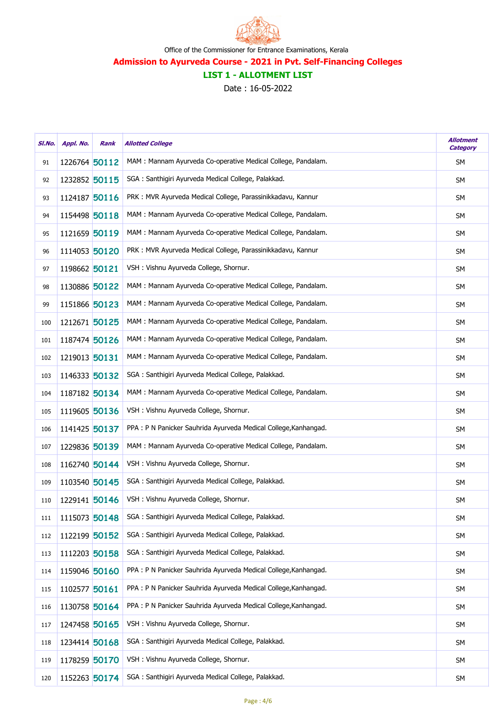

# LIST 1 - ALLOTMENT LIST

| SI.No. | Appl. No.     | Rank | <b>Allotted College</b>                                          | <b>Allotment</b><br><b>Category</b> |
|--------|---------------|------|------------------------------------------------------------------|-------------------------------------|
| 91     | 1226764 50112 |      | MAM: Mannam Ayurveda Co-operative Medical College, Pandalam.     | <b>SM</b>                           |
| 92     | 1232852 50115 |      | SGA: Santhigiri Ayurveda Medical College, Palakkad.              | <b>SM</b>                           |
| 93     | 1124187 50116 |      | PRK : MVR Ayurveda Medical College, Parassinikkadavu, Kannur     | SM                                  |
| 94     | 1154498 50118 |      | MAM: Mannam Ayurveda Co-operative Medical College, Pandalam.     | SM                                  |
| 95     | 1121659 50119 |      | MAM : Mannam Ayurveda Co-operative Medical College, Pandalam.    | <b>SM</b>                           |
| 96     | 1114053 50120 |      | PRK : MVR Ayurveda Medical College, Parassinikkadavu, Kannur     | <b>SM</b>                           |
| 97     | 1198662 50121 |      | VSH : Vishnu Ayurveda College, Shornur.                          | SM                                  |
| 98     | 1130886 50122 |      | MAM: Mannam Ayurveda Co-operative Medical College, Pandalam.     | SM                                  |
| 99     | 1151866 50123 |      | MAM: Mannam Ayurveda Co-operative Medical College, Pandalam.     | SM                                  |
| 100    | 1212671 50125 |      | MAM: Mannam Ayurveda Co-operative Medical College, Pandalam.     | <b>SM</b>                           |
| 101    | 1187474 50126 |      | MAM : Mannam Ayurveda Co-operative Medical College, Pandalam.    | <b>SM</b>                           |
| 102    | 1219013 50131 |      | MAM : Mannam Ayurveda Co-operative Medical College, Pandalam.    | SM                                  |
| 103    | 1146333 50132 |      | SGA : Santhigiri Ayurveda Medical College, Palakkad.             | SM                                  |
| 104    | 1187182 50134 |      | MAM : Mannam Ayurveda Co-operative Medical College, Pandalam.    | <b>SM</b>                           |
| 105    | 1119605 50136 |      | VSH : Vishnu Ayurveda College, Shornur.                          | SM                                  |
| 106    | 1141425 50137 |      | PPA : P N Panicker Sauhrida Ayurveda Medical College, Kanhangad. | SM                                  |
| 107    | 1229836 50139 |      | MAM: Mannam Ayurveda Co-operative Medical College, Pandalam.     | SM                                  |
| 108    | 1162740 50144 |      | VSH : Vishnu Ayurveda College, Shornur.                          | <b>SM</b>                           |
| 109    | 1103540 50145 |      | SGA : Santhigiri Ayurveda Medical College, Palakkad.             | SM                                  |
| 110    | 1229141 50146 |      | VSH : Vishnu Ayurveda College, Shornur.                          | <b>SM</b>                           |
| 111    | 1115073 50148 |      | SGA : Santhigiri Ayurveda Medical College, Palakkad.             | <b>SM</b>                           |
| 112    | 1122199 50152 |      | SGA : Santhigiri Ayurveda Medical College, Palakkad.             | <b>SM</b>                           |
| 113    | 1112203 50158 |      | SGA : Santhigiri Ayurveda Medical College, Palakkad.             | <b>SM</b>                           |
| 114    | 1159046 50160 |      | PPA : P N Panicker Sauhrida Ayurveda Medical College, Kanhangad. | <b>SM</b>                           |
| 115    | 1102577 50161 |      | PPA : P N Panicker Sauhrida Ayurveda Medical College, Kanhangad. | <b>SM</b>                           |
| 116    | 1130758 50164 |      | PPA : P N Panicker Sauhrida Ayurveda Medical College, Kanhangad. | <b>SM</b>                           |
| 117    | 1247458 50165 |      | VSH : Vishnu Ayurveda College, Shornur.                          | <b>SM</b>                           |
| 118    | 1234414 50168 |      | SGA : Santhigiri Ayurveda Medical College, Palakkad.             | SM                                  |
| 119    | 1178259 50170 |      | VSH : Vishnu Ayurveda College, Shornur.                          | <b>SM</b>                           |
| 120    | 1152263 50174 |      | SGA: Santhigiri Ayurveda Medical College, Palakkad.              | <b>SM</b>                           |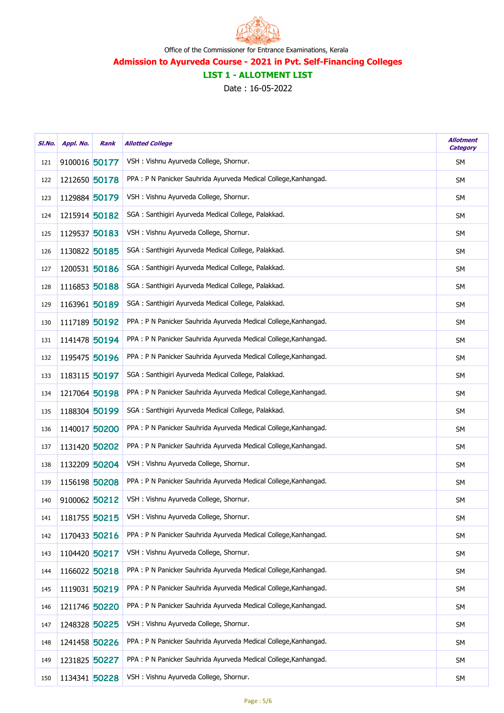

# LIST 1 - ALLOTMENT LIST

| SI.No. | Appl. No.     | Rank | <b>Allotted College</b>                                          | <b>Allotment</b><br><b>Category</b> |
|--------|---------------|------|------------------------------------------------------------------|-------------------------------------|
| 121    | 9100016 50177 |      | VSH: Vishnu Ayurveda College, Shornur.                           | SΜ                                  |
| 122    | 1212650 50178 |      | PPA : P N Panicker Sauhrida Ayurveda Medical College, Kanhangad. | <b>SM</b>                           |
| 123    | 1129884 50179 |      | VSH : Vishnu Ayurveda College, Shornur.                          | SM                                  |
| 124    | 1215914 50182 |      | SGA: Santhigiri Ayurveda Medical College, Palakkad.              | SM                                  |
| 125    | 1129537 50183 |      | VSH : Vishnu Ayurveda College, Shornur.                          | SΜ                                  |
| 126    | 1130822 50185 |      | SGA: Santhigiri Ayurveda Medical College, Palakkad.              | <b>SM</b>                           |
| 127    | 1200531 50186 |      | SGA : Santhigiri Ayurveda Medical College, Palakkad.             | SM                                  |
| 128    | 1116853 50188 |      | SGA: Santhigiri Ayurveda Medical College, Palakkad.              | <b>SM</b>                           |
| 129    | 1163961 50189 |      | SGA : Santhigiri Ayurveda Medical College, Palakkad.             | SΜ                                  |
| 130    | 1117189 50192 |      | PPA : P N Panicker Sauhrida Ayurveda Medical College, Kanhangad. | SM                                  |
| 131    | 1141478 50194 |      | PPA : P N Panicker Sauhrida Ayurveda Medical College, Kanhangad. | SM                                  |
| 132    | 1195475 50196 |      | PPA : P N Panicker Sauhrida Ayurveda Medical College, Kanhangad. | <b>SM</b>                           |
| 133    | 1183115 50197 |      | SGA : Santhigiri Ayurveda Medical College, Palakkad.             | SΜ                                  |
| 134    | 1217064 50198 |      | PPA : P N Panicker Sauhrida Ayurveda Medical College, Kanhangad. | <b>SM</b>                           |
| 135    | 1188304 50199 |      | SGA : Santhigiri Ayurveda Medical College, Palakkad.             | SM                                  |
| 136    | 1140017 50200 |      | PPA : P N Panicker Sauhrida Ayurveda Medical College, Kanhangad. | SM                                  |
| 137    | 1131420 50202 |      | PPA : P N Panicker Sauhrida Ayurveda Medical College, Kanhangad. | SΜ                                  |
| 138    | 1132209 50204 |      | VSH: Vishnu Ayurveda College, Shornur.                           | <b>SM</b>                           |
| 139    | 1156198 50208 |      | PPA : P N Panicker Sauhrida Ayurveda Medical College, Kanhangad. | SΜ                                  |
| 140    | 9100062 50212 |      | VSH: Vishnu Ayurveda College, Shornur.                           | SM                                  |
| 141    | 1181755 50215 |      | VSH : Vishnu Ayurveda College, Shornur.                          | SΜ                                  |
| 142    | 1170433 50216 |      | PPA : P N Panicker Sauhrida Ayurveda Medical College, Kanhangad. | <b>SM</b>                           |
| 143    | 1104420 50217 |      | VSH : Vishnu Ayurveda College, Shornur.                          | SΜ                                  |
| 144    | 1166022 50218 |      | PPA : P N Panicker Sauhrida Ayurveda Medical College, Kanhangad. | <b>SM</b>                           |
| 145    | 1119031 50219 |      | PPA : P N Panicker Sauhrida Ayurveda Medical College, Kanhangad. | SΜ                                  |
| 146    | 1211746 50220 |      | PPA : P N Panicker Sauhrida Ayurveda Medical College, Kanhangad. | SM                                  |
| 147    | 1248328 50225 |      | VSH : Vishnu Ayurveda College, Shornur.                          | SΜ                                  |
| 148    | 1241458 50226 |      | PPA : P N Panicker Sauhrida Ayurveda Medical College, Kanhangad. | <b>SM</b>                           |
| 149    | 1231825 50227 |      | PPA : P N Panicker Sauhrida Ayurveda Medical College, Kanhangad. | SΜ                                  |
| 150    | 1134341 50228 |      | VSH : Vishnu Ayurveda College, Shornur.                          | <b>SM</b>                           |